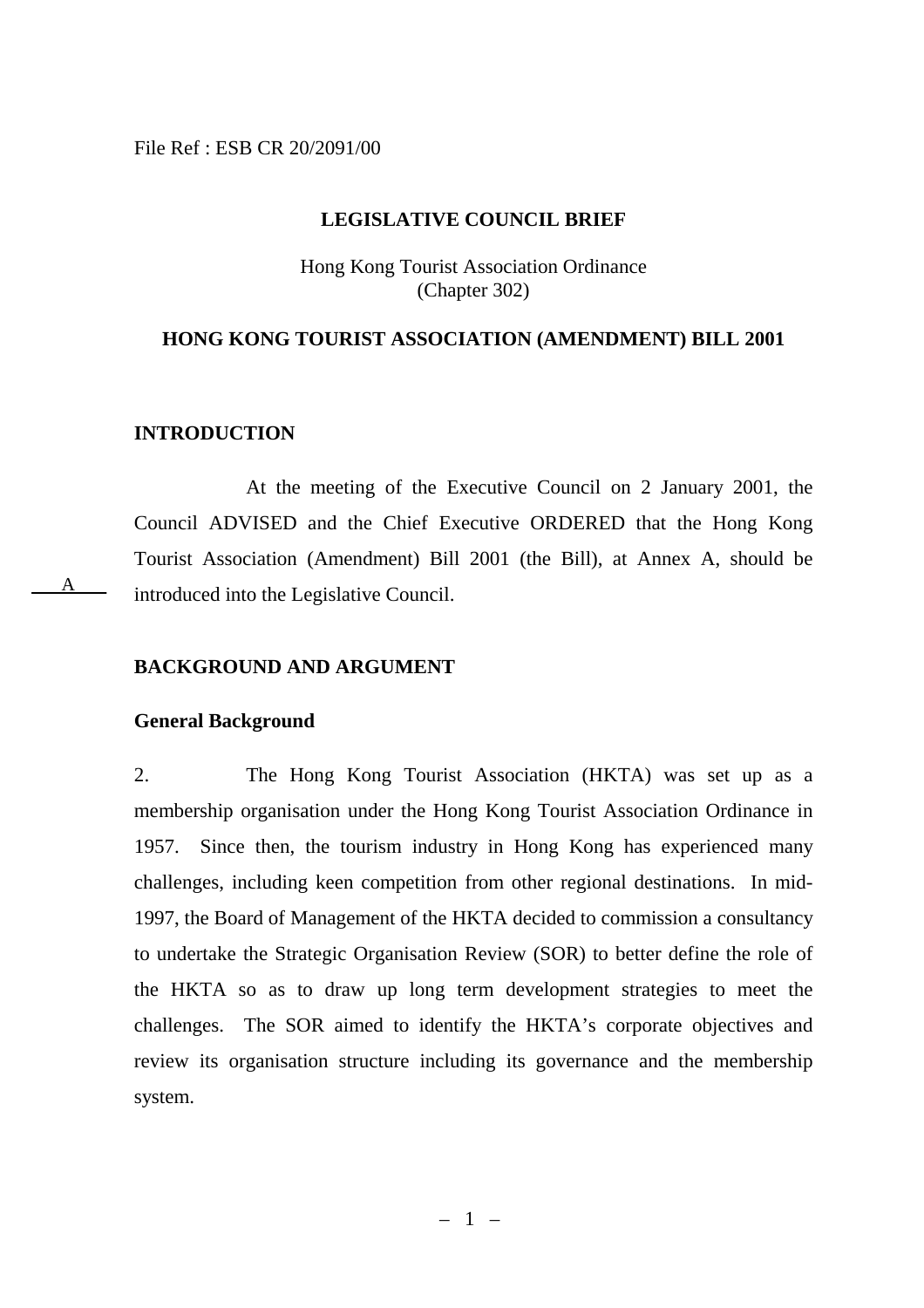#### File Ref : ESB CR 20/2091/00

#### **LEGISLATIVE COUNCIL BRIEF**

Hong Kong Tourist Association Ordinance (Chapter 302)

### **HONG KONG TOURIST ASSOCIATION (AMENDMENT) BILL 2001**

#### **INTRODUCTION**

A

At the meeting of the Executive Council on 2 January 2001, the Council ADVISED and the Chief Executive ORDERED that the Hong Kong Tourist Association (Amendment) Bill 2001 (the Bill), at Annex A, should be introduced into the Legislative Council.

#### **BACKGROUND AND ARGUMENT**

#### **General Background**

2. The Hong Kong Tourist Association (HKTA) was set up as a membership organisation under the Hong Kong Tourist Association Ordinance in 1957. Since then, the tourism industry in Hong Kong has experienced many challenges, including keen competition from other regional destinations. In mid-1997, the Board of Management of the HKTA decided to commission a consultancy to undertake the Strategic Organisation Review (SOR) to better define the role of the HKTA so as to draw up long term development strategies to meet the challenges. The SOR aimed to identify the HKTA's corporate objectives and review its organisation structure including its governance and the membership system.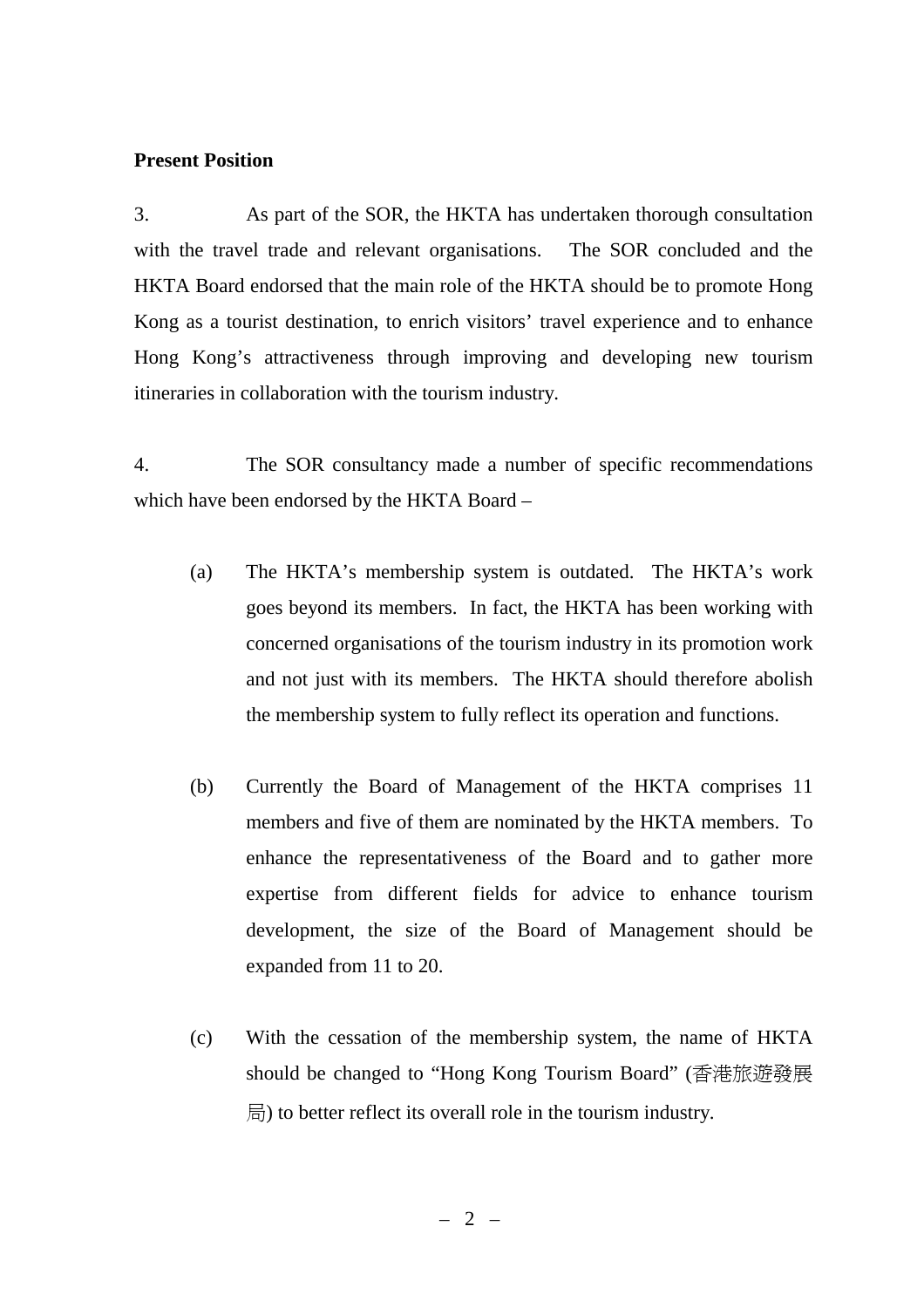## **Present Position**

3. As part of the SOR, the HKTA has undertaken thorough consultation with the travel trade and relevant organisations. The SOR concluded and the HKTA Board endorsed that the main role of the HKTA should be to promote Hong Kong as a tourist destination, to enrich visitors' travel experience and to enhance Hong Kong's attractiveness through improving and developing new tourism itineraries in collaboration with the tourism industry.

4. The SOR consultancy made a number of specific recommendations which have been endorsed by the HKTA Board –

- (a) The HKTA's membership system is outdated. The HKTA's work goes beyond its members. In fact, the HKTA has been working with concerned organisations of the tourism industry in its promotion work and not just with its members. The HKTA should therefore abolish the membership system to fully reflect its operation and functions.
- (b) Currently the Board of Management of the HKTA comprises 11 members and five of them are nominated by the HKTA members. To enhance the representativeness of the Board and to gather more expertise from different fields for advice to enhance tourism development, the size of the Board of Management should be expanded from 11 to 20.
- (c) With the cessation of the membership system, the name of HKTA should be changed to "Hong Kong Tourism Board" (香港旅遊發展 局) to better reflect its overall role in the tourism industry.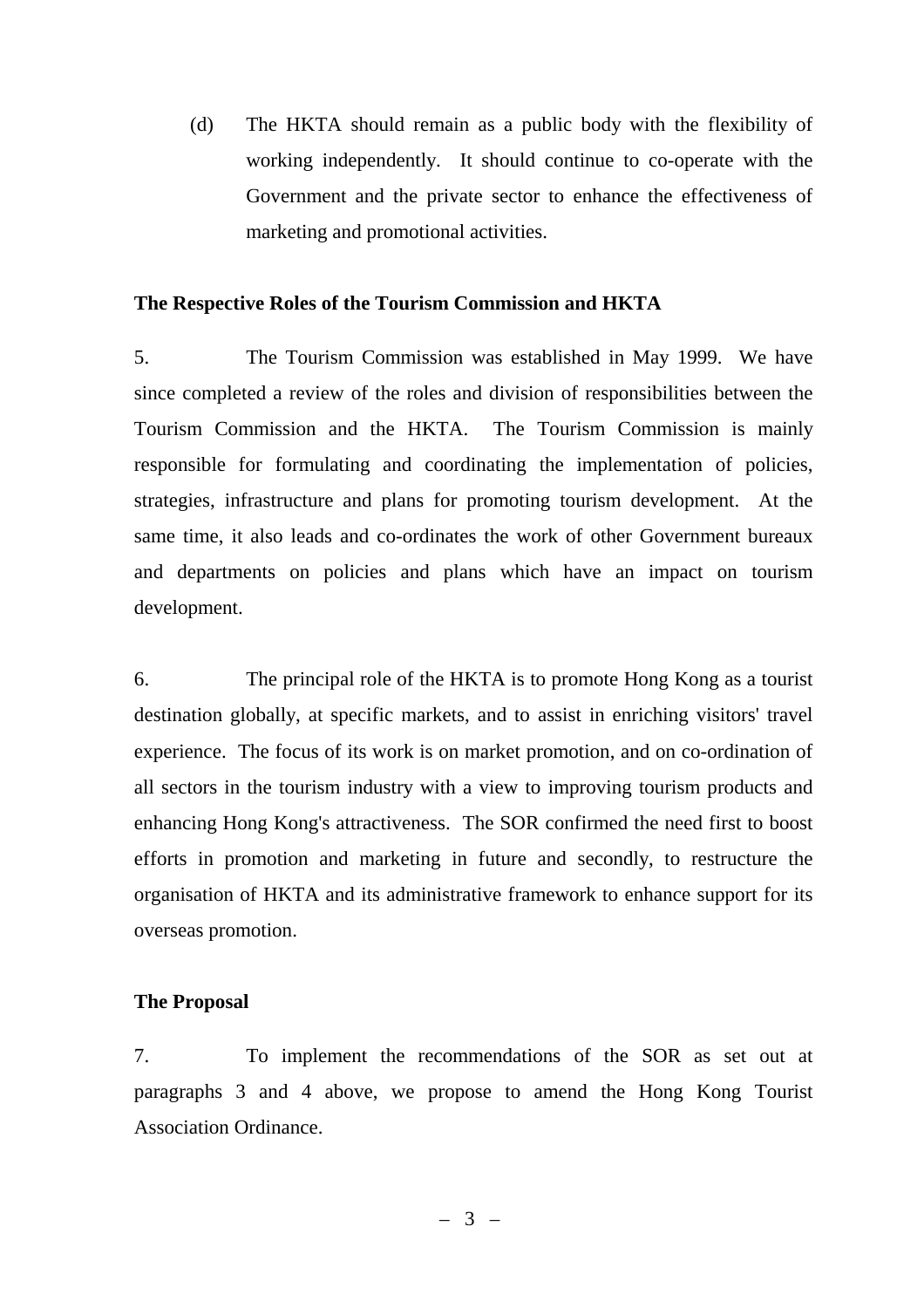(d) The HKTA should remain as a public body with the flexibility of working independently. It should continue to co-operate with the Government and the private sector to enhance the effectiveness of marketing and promotional activities.

#### **The Respective Roles of the Tourism Commission and HKTA**

5. The Tourism Commission was established in May 1999. We have since completed a review of the roles and division of responsibilities between the Tourism Commission and the HKTA. The Tourism Commission is mainly responsible for formulating and coordinating the implementation of policies, strategies, infrastructure and plans for promoting tourism development. At the same time, it also leads and co-ordinates the work of other Government bureaux and departments on policies and plans which have an impact on tourism development.

6. The principal role of the HKTA is to promote Hong Kong as a tourist destination globally, at specific markets, and to assist in enriching visitors' travel experience. The focus of its work is on market promotion, and on co-ordination of all sectors in the tourism industry with a view to improving tourism products and enhancing Hong Kong's attractiveness. The SOR confirmed the need first to boost efforts in promotion and marketing in future and secondly, to restructure the organisation of HKTA and its administrative framework to enhance support for its overseas promotion.

## **The Proposal**

7. To implement the recommendations of the SOR as set out at paragraphs 3 and 4 above, we propose to amend the Hong Kong Tourist Association Ordinance.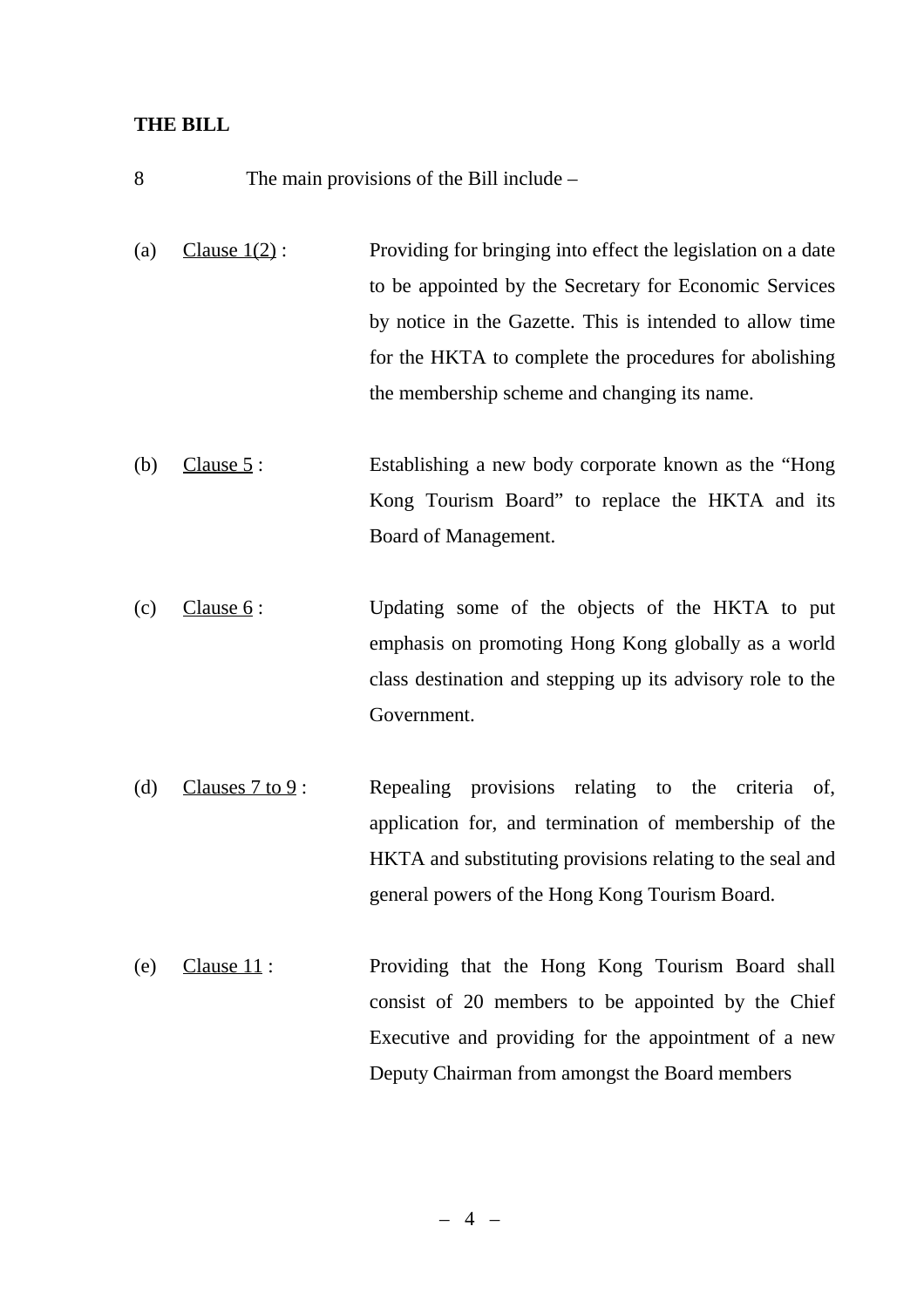### **THE BILL**

- 8 The main provisions of the Bill include –
- (a) Clause  $1(2)$ : Providing for bringing into effect the legislation on a date to be appointed by the Secretary for Economic Services by notice in the Gazette. This is intended to allow time for the HKTA to complete the procedures for abolishing the membership scheme and changing its name.
- (b) Clause 5 : Establishing a new body corporate known as the "Hong Kong Tourism Board" to replace the HKTA and its Board of Management.
- (c) Clause 6: Updating some of the objects of the HKTA to put emphasis on promoting Hong Kong globally as a world class destination and stepping up its advisory role to the Government.
- (d) Clauses  $7 \text{ to } 9$ : Repealing provisions relating to the criteria of, application for, and termination of membership of the HKTA and substituting provisions relating to the seal and general powers of the Hong Kong Tourism Board.
- (e) Clause 11 : Providing that the Hong Kong Tourism Board shall consist of 20 members to be appointed by the Chief Executive and providing for the appointment of a new Deputy Chairman from amongst the Board members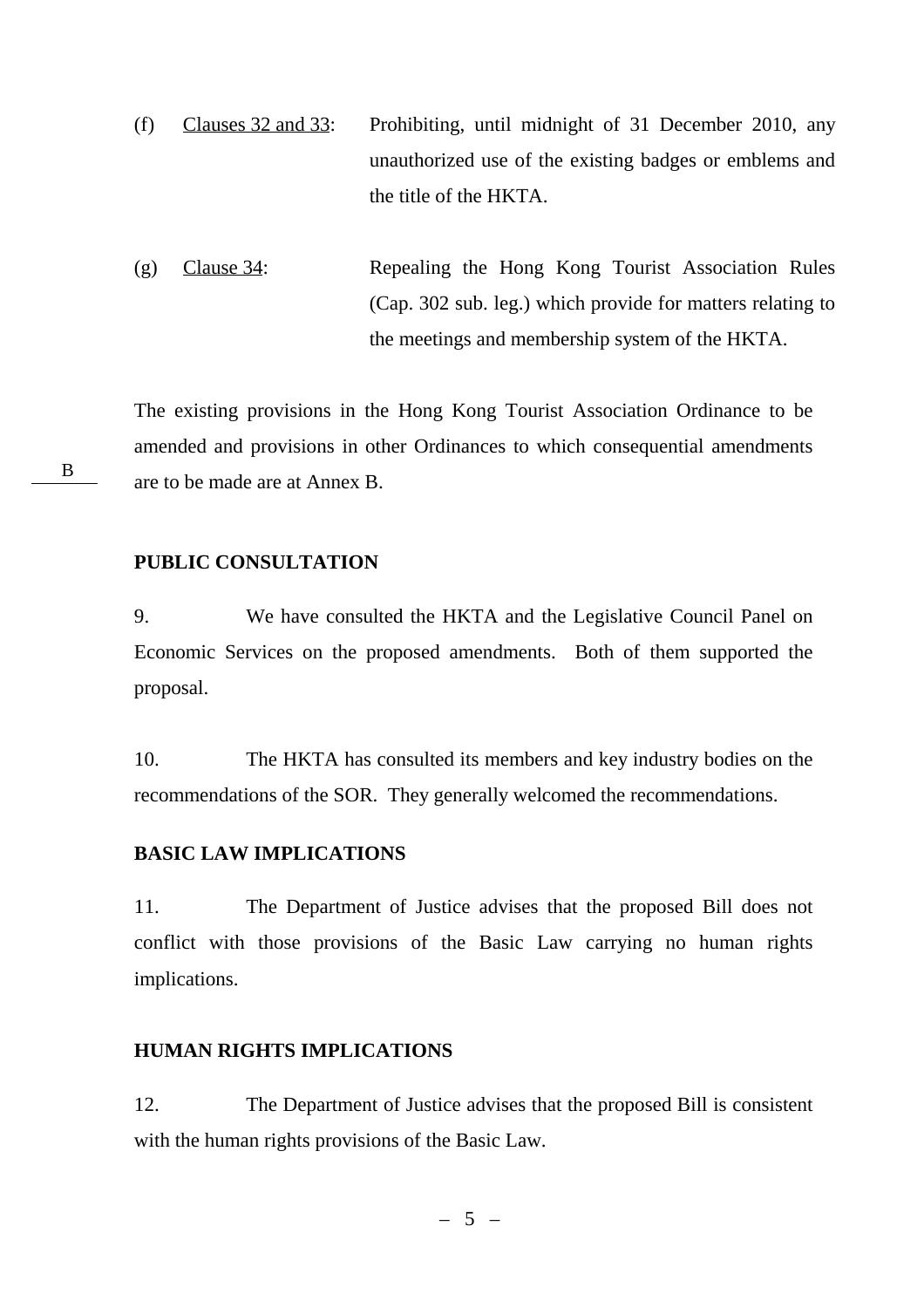- (f) Clauses 32 and 33: Prohibiting, until midnight of 31 December 2010, any unauthorized use of the existing badges or emblems and the title of the HKTA.
- (g) Clause 34: Repealing the Hong Kong Tourist Association Rules (Cap. 302 sub. leg.) which provide for matters relating to the meetings and membership system of the HKTA.

The existing provisions in the Hong Kong Tourist Association Ordinance to be amended and provisions in other Ordinances to which consequential amendments are to be made are at Annex B.

**PUBLIC CONSULTATION**

9. We have consulted the HKTA and the Legislative Council Panel on Economic Services on the proposed amendments. Both of them supported the proposal.

10. The HKTA has consulted its members and key industry bodies on the recommendations of the SOR. They generally welcomed the recommendations.

#### **BASIC LAW IMPLICATIONS**

11. The Department of Justice advises that the proposed Bill does not conflict with those provisions of the Basic Law carrying no human rights implications.

## **HUMAN RIGHTS IMPLICATIONS**

12. The Department of Justice advises that the proposed Bill is consistent with the human rights provisions of the Basic Law.

B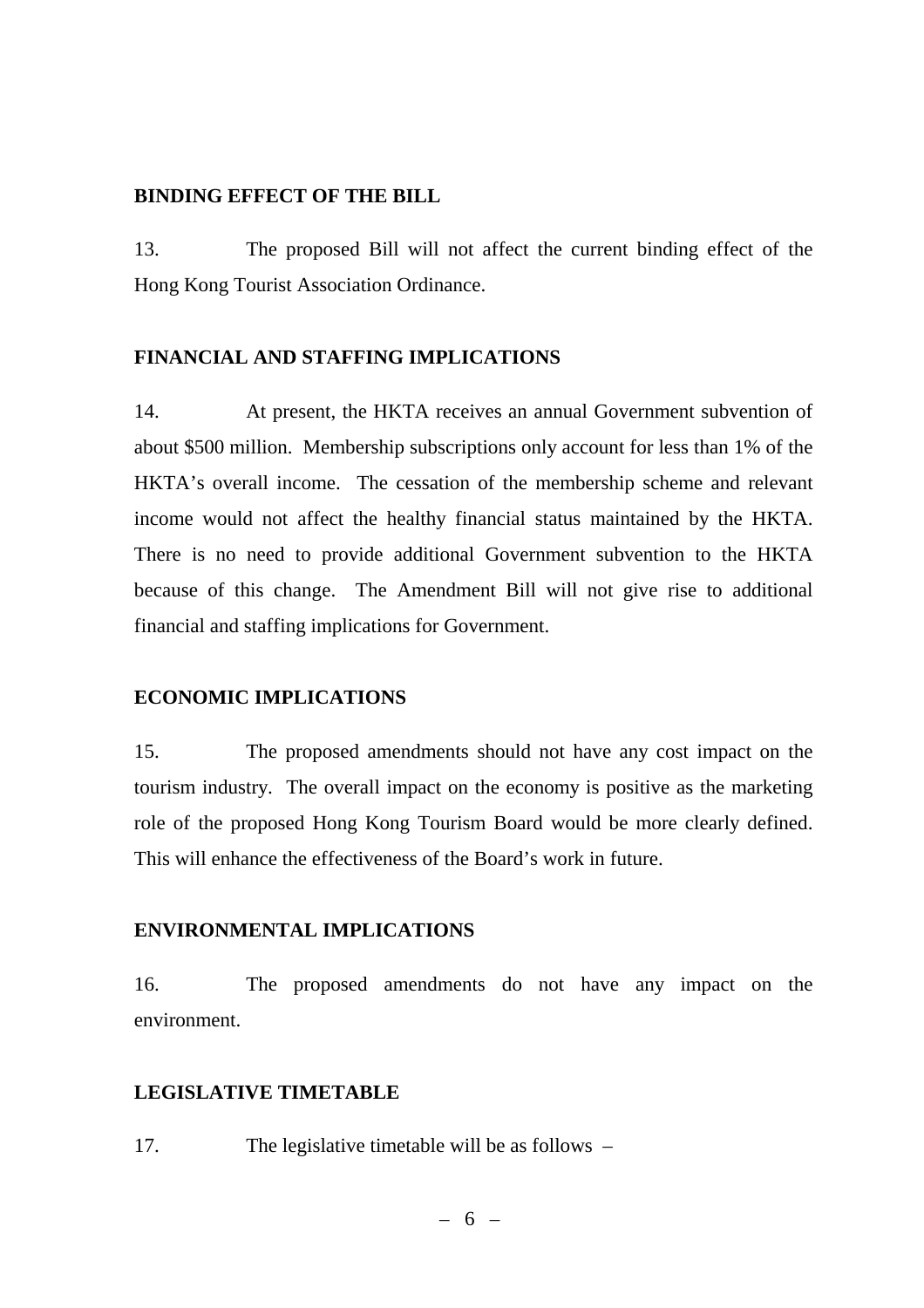#### **BINDING EFFECT OF THE BILL**

13. The proposed Bill will not affect the current binding effect of the Hong Kong Tourist Association Ordinance.

## **FINANCIAL AND STAFFING IMPLICATIONS**

14. At present, the HKTA receives an annual Government subvention of about \$500 million. Membership subscriptions only account for less than 1% of the HKTA's overall income. The cessation of the membership scheme and relevant income would not affect the healthy financial status maintained by the HKTA. There is no need to provide additional Government subvention to the HKTA because of this change. The Amendment Bill will not give rise to additional financial and staffing implications for Government.

## **ECONOMIC IMPLICATIONS**

15. The proposed amendments should not have any cost impact on the tourism industry. The overall impact on the economy is positive as the marketing role of the proposed Hong Kong Tourism Board would be more clearly defined. This will enhance the effectiveness of the Board's work in future.

## **ENVIRONMENTAL IMPLICATIONS**

16. The proposed amendments do not have any impact on the environment.

## **LEGISLATIVE TIMETABLE**

17. The legislative timetable will be as follows –